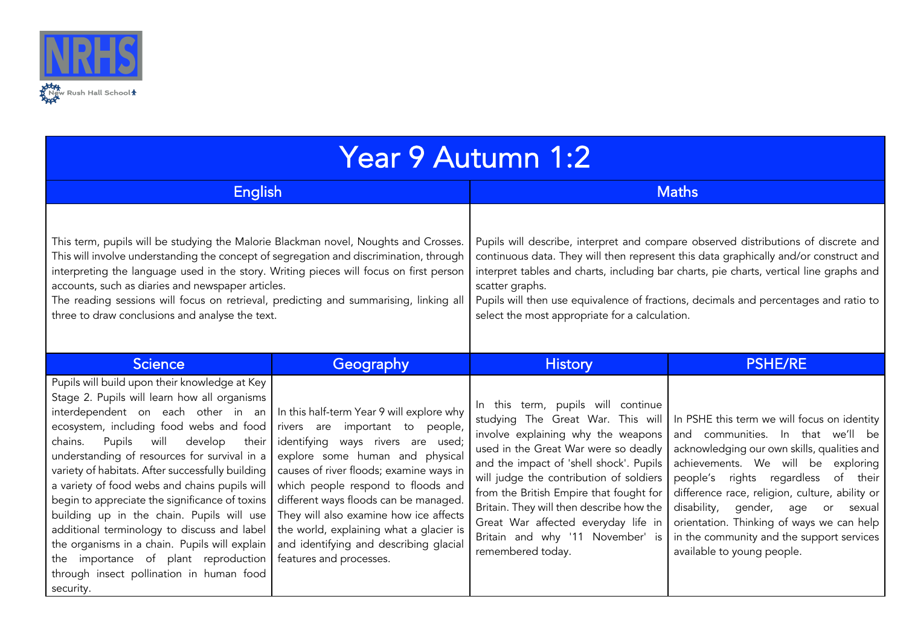

| <b>Year 9 Autumn 1:2</b>                                                                                                                                                                                                                                                                                                                                                                                                                                                                                                                                                                                                                                                             |                                                                                                                                                                                                                                                                                                                                                                                                                                          |                                                                                                                                                                                                                                                                                                                                                                                                                                    |                                                                                                                                                                                                                                                                                                                                                                                                                                            |  |  |
|--------------------------------------------------------------------------------------------------------------------------------------------------------------------------------------------------------------------------------------------------------------------------------------------------------------------------------------------------------------------------------------------------------------------------------------------------------------------------------------------------------------------------------------------------------------------------------------------------------------------------------------------------------------------------------------|------------------------------------------------------------------------------------------------------------------------------------------------------------------------------------------------------------------------------------------------------------------------------------------------------------------------------------------------------------------------------------------------------------------------------------------|------------------------------------------------------------------------------------------------------------------------------------------------------------------------------------------------------------------------------------------------------------------------------------------------------------------------------------------------------------------------------------------------------------------------------------|--------------------------------------------------------------------------------------------------------------------------------------------------------------------------------------------------------------------------------------------------------------------------------------------------------------------------------------------------------------------------------------------------------------------------------------------|--|--|
| <b>English</b>                                                                                                                                                                                                                                                                                                                                                                                                                                                                                                                                                                                                                                                                       |                                                                                                                                                                                                                                                                                                                                                                                                                                          | <b>Maths</b>                                                                                                                                                                                                                                                                                                                                                                                                                       |                                                                                                                                                                                                                                                                                                                                                                                                                                            |  |  |
| This term, pupils will be studying the Malorie Blackman novel, Noughts and Crosses.<br>This will involve understanding the concept of segregation and discrimination, through<br>interpreting the language used in the story. Writing pieces will focus on first person<br>accounts, such as diaries and newspaper articles.<br>The reading sessions will focus on retrieval, predicting and summarising, linking all<br>three to draw conclusions and analyse the text.                                                                                                                                                                                                             |                                                                                                                                                                                                                                                                                                                                                                                                                                          | Pupils will describe, interpret and compare observed distributions of discrete and<br>continuous data. They will then represent this data graphically and/or construct and<br>interpret tables and charts, including bar charts, pie charts, vertical line graphs and<br>scatter graphs.<br>Pupils will then use equivalence of fractions, decimals and percentages and ratio to<br>select the most appropriate for a calculation. |                                                                                                                                                                                                                                                                                                                                                                                                                                            |  |  |
| <b>Science</b>                                                                                                                                                                                                                                                                                                                                                                                                                                                                                                                                                                                                                                                                       | Geography                                                                                                                                                                                                                                                                                                                                                                                                                                | <b>History</b>                                                                                                                                                                                                                                                                                                                                                                                                                     | <b>PSHE/RE</b>                                                                                                                                                                                                                                                                                                                                                                                                                             |  |  |
| Pupils will build upon their knowledge at Key<br>Stage 2. Pupils will learn how all organisms<br>interdependent on each other in an<br>ecosystem, including food webs and food<br>Pupils<br>will<br>develop<br>chains.<br>their<br>understanding of resources for survival in a<br>variety of habitats. After successfully building<br>a variety of food webs and chains pupils will<br>begin to appreciate the significance of toxins<br>building up in the chain. Pupils will use<br>additional terminology to discuss and label<br>the organisms in a chain. Pupils will explain<br>the importance of plant reproduction<br>through insect pollination in human food<br>security. | In this half-term Year 9 will explore why<br>rivers are important to people,<br>identifying ways rivers are used;<br>explore some human and physical<br>causes of river floods; examine ways in<br>which people respond to floods and<br>different ways floods can be managed.<br>They will also examine how ice affects<br>the world, explaining what a glacier is<br>and identifying and describing glacial<br>features and processes. | In this term, pupils will continue<br>studying The Great War. This will<br>involve explaining why the weapons<br>used in the Great War were so deadly<br>and the impact of 'shell shock'. Pupils<br>will judge the contribution of soldiers<br>from the British Empire that fought for<br>Britain. They will then describe how the<br>Great War affected everyday life in<br>Britain and why '11 November' is<br>remembered today. | In PSHE this term we will focus on identity<br>and communities. In that we'll be<br>acknowledging our own skills, qualities and<br>achievements. We will be exploring<br>people's rights regardless<br>of their<br>difference race, religion, culture, ability or<br>disability,<br>gender,<br>age<br>sexual<br>or<br>orientation. Thinking of ways we can help<br>in the community and the support services<br>available to young people. |  |  |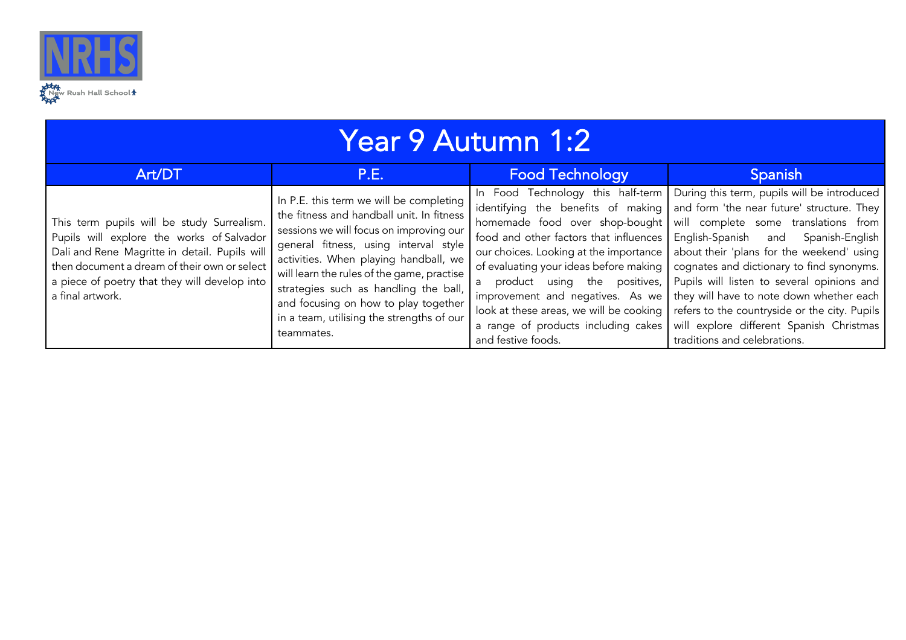

| Year 9 Autumn 1:2                                                                                                                                                                                                                                             |                                                                                                                                                                                                                                                                                                                                                                                                             |                                                                                                                                                                                                                                                                                                                                                                                                                     |                                                                                                                                                                                                                                                                                                                                                                                                                                                                                           |  |
|---------------------------------------------------------------------------------------------------------------------------------------------------------------------------------------------------------------------------------------------------------------|-------------------------------------------------------------------------------------------------------------------------------------------------------------------------------------------------------------------------------------------------------------------------------------------------------------------------------------------------------------------------------------------------------------|---------------------------------------------------------------------------------------------------------------------------------------------------------------------------------------------------------------------------------------------------------------------------------------------------------------------------------------------------------------------------------------------------------------------|-------------------------------------------------------------------------------------------------------------------------------------------------------------------------------------------------------------------------------------------------------------------------------------------------------------------------------------------------------------------------------------------------------------------------------------------------------------------------------------------|--|
| Art/DT                                                                                                                                                                                                                                                        | <b>P.E.</b>                                                                                                                                                                                                                                                                                                                                                                                                 | <b>Food Technology</b>                                                                                                                                                                                                                                                                                                                                                                                              | Spanish                                                                                                                                                                                                                                                                                                                                                                                                                                                                                   |  |
| This term pupils will be study Surrealism.<br>Pupils will explore the works of Salvador<br>Dali and Rene Magritte in detail. Pupils will<br>then document a dream of their own or select<br>a piece of poetry that they will develop into<br>a final artwork. | In P.E. this term we will be completing<br>the fitness and handball unit. In fitness<br>sessions we will focus on improving our<br>general fitness, using interval style<br>activities. When playing handball, we<br>will learn the rules of the game, practise<br>strategies such as handling the ball,<br>and focusing on how to play together<br>in a team, utilising the strengths of our<br>teammates. | In Food Technology this half-term<br>identifying the benefits of making<br>homemade food over shop-bought<br>food and other factors that influences<br>our choices. Looking at the importance<br>of evaluating your ideas before making<br>product using the positives,<br>improvement and negatives. As we<br>look at these areas, we will be cooking<br>a range of products including cakes<br>and festive foods. | During this term, pupils will be introduced<br>and form 'the near future' structure. They<br>will complete some translations from<br>English-Spanish and Spanish-English<br>about their 'plans for the weekend' using<br>cognates and dictionary to find synonyms.<br>Pupils will listen to several opinions and<br>they will have to note down whether each<br>refers to the countryside or the city. Pupils<br>will explore different Spanish Christmas<br>traditions and celebrations. |  |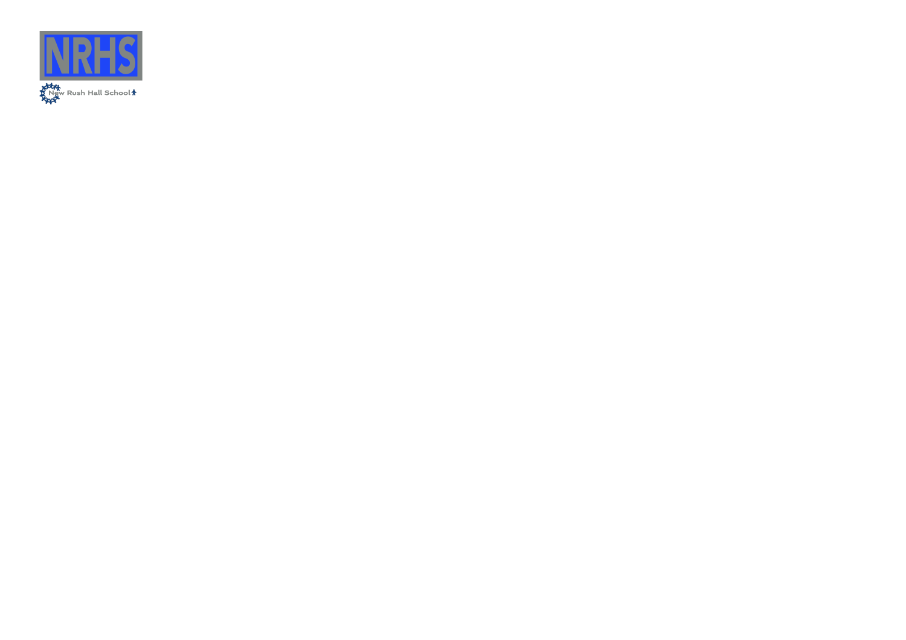